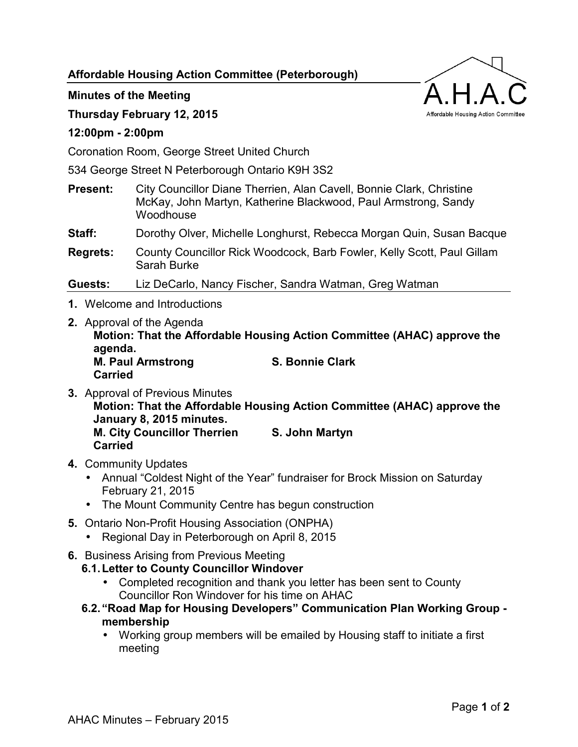**Affordable Housing Action Committee (Peterborough)** 

## **Minutes of the Meeting**

### **Thursday February 12, 2015**

#### **12:00pm - 2:00pm**

Coronation Room, George Street United Church

534 George Street N Peterborough Ontario K9H 3S2

- **Present:** City Councillor Diane Therrien, Alan Cavell, Bonnie Clark, Christine McKay, John Martyn, Katherine Blackwood, Paul Armstrong, Sandy **Woodhouse**
- **Staff:** Dorothy Olver, Michelle Longhurst, Rebecca Morgan Quin, Susan Bacque
- **Regrets:** County Councillor Rick Woodcock, Barb Fowler, Kelly Scott, Paul Gillam Sarah Burke

**Guests:** Liz DeCarlo, Nancy Fischer, Sandra Watman, Greg Watman

- **1.** Welcome and Introductions
- **2.** Approval of the Agenda **Motion: That the Affordable Housing Action Committee (AHAC) approve the agenda. M. Paul Armstrong S. Bonnie Clark Carried**
- **3.** Approval of Previous Minutes **Motion: That the Affordable Housing Action Committee (AHAC) approve the January 8, 2015 minutes. M. City Councillor Therrien S. John Martyn Carried**
- **4.** Community Updates
	- Annual "Coldest Night of the Year" fundraiser for Brock Mission on Saturday February 21, 2015
	- The Mount Community Centre has begun construction
- **5.** Ontario Non-Profit Housing Association (ONPHA)
	- Regional Day in Peterborough on April 8, 2015
- **6.** Business Arising from Previous Meeting

## **6.1. Letter to County Councillor Windover**

- Completed recognition and thank you letter has been sent to County Councillor Ron Windover for his time on AHAC
- **6.2. "Road Map for Housing Developers" Communication Plan Working Group membership** 
	- Working group members will be emailed by Housing staff to initiate a first meeting